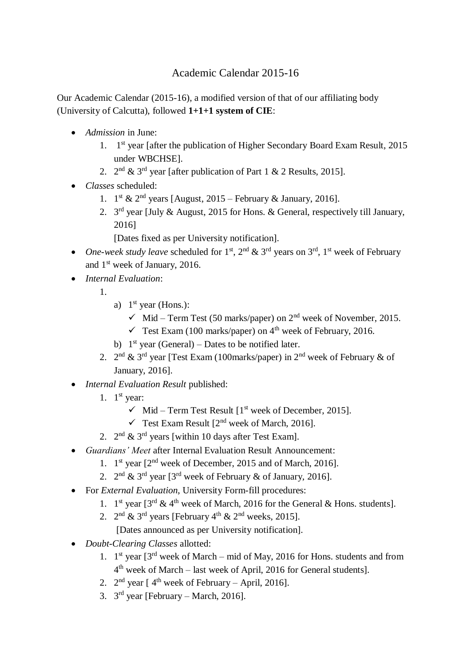## Academic Calendar 2015-16

Our Academic Calendar (2015-16), a modified version of that of our affiliating body (University of Calcutta), followed **1+1+1 system of CIE**:

- *Admission* in June:
	- 1. 1 st year [after the publication of Higher Secondary Board Exam Result, 2015 under WBCHSE].
	- 2.  $2^{nd}$  & 3<sup>rd</sup> year [after publication of Part 1 & 2 Results, 2015].
- *Classes* scheduled:
	- 1.  $1^{\text{st}}$  &  $2^{\text{nd}}$  years [August, 2015 February & January, 2016].
	- 2.  $3<sup>rd</sup>$  year [July & August, 2015 for Hons. & General, respectively till January, 2016]

[Dates fixed as per University notification].

- One-week study leave scheduled for  $1<sup>st</sup>$ ,  $2<sup>nd</sup>$  &  $3<sup>rd</sup>$  years on  $3<sup>rd</sup>$ ,  $1<sup>st</sup>$  week of February and 1<sup>st</sup> week of January, 2016.
- *Internal Evaluation*:
	- 1.
- a)  $1<sup>st</sup>$  year (Hons.):
	- $\checkmark$  Mid Term Test (50 marks/paper) on 2<sup>nd</sup> week of November, 2015.
	- $\checkmark$  Test Exam (100 marks/paper) on 4<sup>th</sup> week of February, 2016.
- b)  $1<sup>st</sup>$  year (General) Dates to be notified later.
- 2.  $2^{nd}$  &  $3^{rd}$  year [Test Exam (100marks/paper) in  $2^{nd}$  week of February & of January, 2016].
- *Internal Evaluation Result* published:
	- 1.  $1<sup>st</sup>$  year:
		- $\checkmark$  Mid Term Test Result  $[1^{\text{st}}$  week of December, 2015].
		- $\checkmark$  Test Exam Result  $[2^{nd}$  week of March, 2016].
	- 2.  $2^{\text{nd}} \& 3^{\text{rd}}$  years [within 10 days after Test Exam].
- *Guardians' Meet* after Internal Evaluation Result Announcement:
	- 1. 1<sup>st</sup> year [2<sup>nd</sup> week of December, 2015 and of March, 2016].
	- 2.  $2^{nd}$  &  $3^{rd}$  year [3<sup>rd</sup> week of February & of January, 2016].
- For *External Evaluation*, University Form-fill procedures:
	- 1. 1<sup>st</sup> year  $[3^{rd} \& 4^{th}$  week of March, 2016 for the General & Hons. students].
	- 2.  $2^{\text{nd}}$  & 3<sup>rd</sup> years [February 4<sup>th</sup> & 2<sup>nd</sup> weeks, 2015].

[Dates announced as per University notification].

- *Doubt-Clearing Classes* allotted:
	- 1.  $1<sup>st</sup>$  year  $3<sup>rd</sup>$  week of March mid of May, 2016 for Hons. students and from 4<sup>th</sup> week of March – last week of April, 2016 for General students].
	- 2.  $2<sup>nd</sup>$  year [4<sup>th</sup> week of February April, 2016].
	- 3.  $3<sup>rd</sup>$  year [February March, 2016].